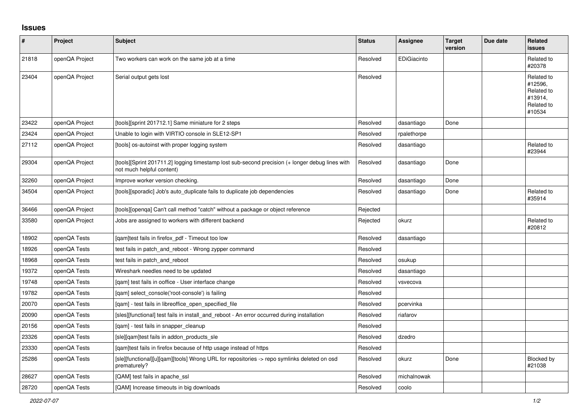## **Issues**

| $\vert$ # | Project        | <b>Subject</b>                                                                                                               | <b>Status</b> | Assignee    | <b>Target</b><br>version | Due date | Related<br><b>issues</b>                                               |
|-----------|----------------|------------------------------------------------------------------------------------------------------------------------------|---------------|-------------|--------------------------|----------|------------------------------------------------------------------------|
| 21818     | openQA Project | Two workers can work on the same job at a time                                                                               | Resolved      | EDiGiacinto |                          |          | Related to<br>#20378                                                   |
| 23404     | openQA Project | Serial output gets lost                                                                                                      | Resolved      |             |                          |          | Related to<br>#12596.<br>Related to<br>#13914,<br>Related to<br>#10534 |
| 23422     | openQA Project | [tools][sprint 201712.1] Same miniature for 2 steps                                                                          | Resolved      | dasantiago  | Done                     |          |                                                                        |
| 23424     | openQA Project | Unable to login with VIRTIO console in SLE12-SP1                                                                             | Resolved      | rpalethorpe |                          |          |                                                                        |
| 27112     | openQA Project | [tools] os-autoinst with proper logging system                                                                               | Resolved      | dasantiago  |                          |          | Related to<br>#23944                                                   |
| 29304     | openQA Project | [tools][Sprint 201711.2] logging timestamp lost sub-second precision (+ longer debug lines with<br>not much helpful content) | Resolved      | dasantiago  | Done                     |          |                                                                        |
| 32260     | openQA Project | Improve worker version checking.                                                                                             | Resolved      | dasantiago  | Done                     |          |                                                                        |
| 34504     | openQA Project | [tools][sporadic] Job's auto duplicate fails to duplicate job dependencies                                                   | Resolved      | dasantiago  | Done                     |          | Related to<br>#35914                                                   |
| 36466     | openQA Project | [tools][openqa] Can't call method "catch" without a package or object reference                                              | Rejected      |             |                          |          |                                                                        |
| 33580     | openQA Project | Jobs are assigned to workers with different backend                                                                          | Rejected      | okurz       |                          |          | Related to<br>#20812                                                   |
| 18902     | openQA Tests   | [qam]test fails in firefox_pdf - Timeout too low                                                                             | Resolved      | dasantiago  |                          |          |                                                                        |
| 18926     | openQA Tests   | test fails in patch_and_reboot - Wrong zypper command                                                                        | Resolved      |             |                          |          |                                                                        |
| 18968     | openQA Tests   | test fails in patch and reboot                                                                                               | Resolved      | osukup      |                          |          |                                                                        |
| 19372     | openQA Tests   | Wireshark needles need to be updated                                                                                         | Resolved      | dasantiago  |                          |          |                                                                        |
| 19748     | openQA Tests   | [qam] test fails in ooffice - User interface change                                                                          | Resolved      | vsvecova    |                          |          |                                                                        |
| 19782     | openQA Tests   | [gam] select console('root-console') is failing                                                                              | Resolved      |             |                          |          |                                                                        |
| 20070     | openQA Tests   | [qam] - test fails in libreoffice_open_specified_file                                                                        | Resolved      | pcervinka   |                          |          |                                                                        |
| 20090     | openQA Tests   | [sles][functional] test fails in install and reboot - An error occurred during installation                                  | Resolved      | riafarov    |                          |          |                                                                        |
| 20156     | openQA Tests   | [qam] - test fails in snapper_cleanup                                                                                        | Resolved      |             |                          |          |                                                                        |
| 23326     | openQA Tests   | [sle][qam]test fails in addon_products_sle                                                                                   | Resolved      | dzedro      |                          |          |                                                                        |
| 23330     | openQA Tests   | [gam]test fails in firefox because of http usage instead of https                                                            | Resolved      |             |                          |          |                                                                        |
| 25286     | openQA Tests   | [sle][functional][u][qam][tools] Wrong URL for repositories -> repo symlinks deleted on osd<br>prematurely?                  | Resolved      | okurz       | Done                     |          | Blocked by<br>#21038                                                   |
| 28627     | openQA Tests   | [QAM] test fails in apache ssl                                                                                               | Resolved      | michalnowak |                          |          |                                                                        |
| 28720     | openQA Tests   | [QAM] Increase timeouts in big downloads                                                                                     | Resolved      | coolo       |                          |          |                                                                        |